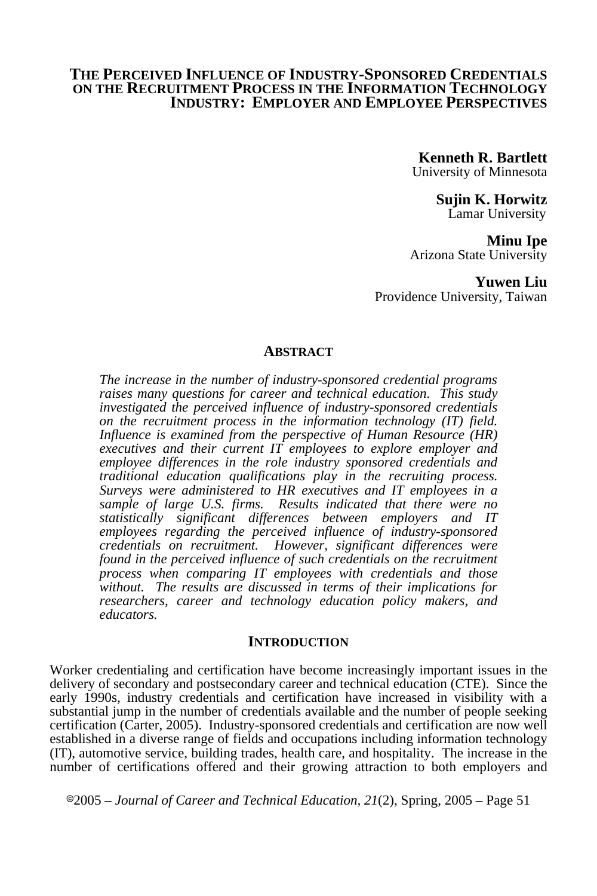### **THE PERCEIVED INFLUENCE OF INDUSTRY-SPONSORED CREDENTIALS ON THE RECRUITMENT PROCESS IN THE INFORMATION TECHNOLOGY INDUSTRY: EMPLOYER AND EMPLOYEE PERSPECTIVES**

**Kenneth R. Bartlett**  University of Minnesota

**Sujin K. Horwitz** Lamar University

**Minu Ipe** 

Arizona State University

**Yuwen Liu**  Providence University, Taiwan

#### **ABSTRACT**

*The increase in the number of industry-sponsored credential programs raises many questions for career and technical education. This study investigated the perceived influence of industry-sponsored credentials on the recruitment process in the information technology (IT) field. Influence is examined from the perspective of Human Resource (HR) executives and their current IT employees to explore employer and employee differences in the role industry sponsored credentials and traditional education qualifications play in the recruiting process. Surveys were administered to HR executives and IT employees in a sample of large U.S. firms. Results indicated that there were no statistically significant differences between employers and IT*  employees regarding the perceived influence of industry-sponsored *credentials on recruitment. However, significant differences were found in the perceived influence of such credentials on the recruitment process when comparing IT employees with credentials and those without. The results are discussed in terms of their implications for researchers, career and technology education policy makers, and educators.* 

#### **INTRODUCTION**

Worker credentialing and certification have become increasingly important issues in the delivery of secondary and postsecondary career and technical education (CTE). Since the early 1990s, industry credentials and certification have increased in visibility with a substantial jump in the number of credentials available and the number of people seeking certification (Carter, 2005). Industry-sponsored credentials and certification are now well established in a diverse range of fields and occupations including information technology (IT), automotive service, building trades, health care, and hospitality. The increase in the number of certifications offered and their growing attraction to both employers and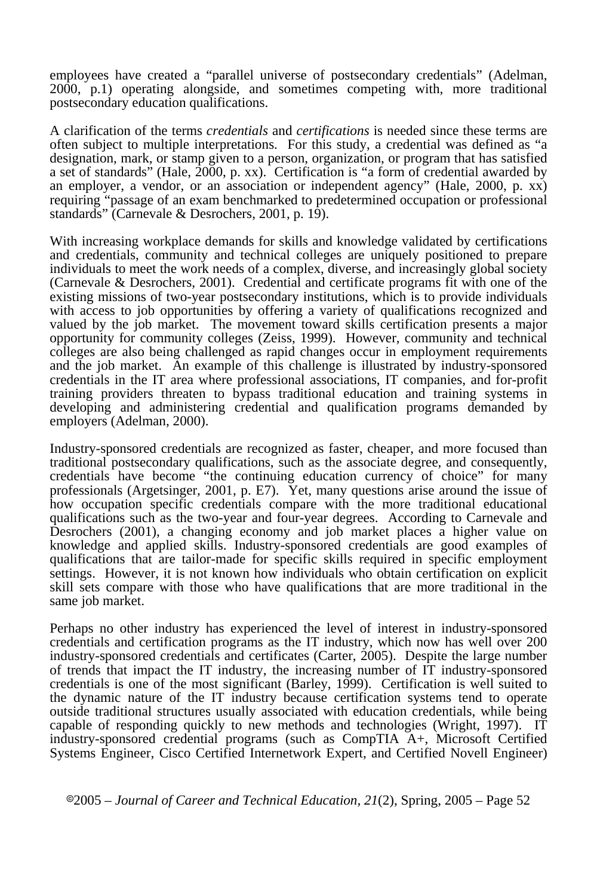employees have created a "parallel universe of postsecondary credentials" (Adelman, 2000, p.1) operating alongside, and sometimes competing with, more traditional postsecondary education qualifications.

A clarification of the terms *credentials* and *certifications* is needed since these terms are often subject to multiple interpretations. For this study, a credential was defined as "a designation, mark, or stamp given to a person, organization, or program that has satisfied a set of standards" (Hale, 2000, p. xx). Certification is "a form of credential awarded by an employer, a vendor, or an association or independent agency" (Hale, 2000, p. xx) requiring "passage of an exam benchmarked to predetermined occupation or professional standards" (Carnevale & Desrochers, 2001, p. 19).

With increasing workplace demands for skills and knowledge validated by certifications and credentials, community and technical colleges are uniquely positioned to prepare individuals to meet the work needs of a complex, diverse, and increasingly global society (Carnevale & Desrochers, 2001). Credential and certificate programs fit with one of the existing missions of two-year postsecondary institutions, which is to provide individuals with access to job opportunities by offering a variety of qualifications recognized and valued by the job market. The movement toward skills certification presents a major opportunity for community colleges (Zeiss, 1999). However, community and technical colleges are also being challenged as rapid changes occur in employment requirements and the job market. An example of this challenge is illustrated by industry-sponsored credentials in the IT area where professional associations, IT companies, and for-profit training providers threaten to bypass traditional education and training systems in developing and administering credential and qualification programs demanded by employers (Adelman, 2000).

Industry-sponsored credentials are recognized as faster, cheaper, and more focused than traditional postsecondary qualifications, such as the associate degree, and consequently, credentials have become "the continuing education currency of choice" for many professionals (Argetsinger, 2001, p. E7). Yet, many questions arise around the issue of how occupation specific credentials compare with the more traditional educational qualifications such as the two-year and four-year degrees. According to Carnevale and Desrochers (2001), a changing economy and job market places a higher value on knowledge and applied skills. Industry-sponsored credentials are good examples of qualifications that are tailor-made for specific skills required in specific employment settings. However, it is not known how individuals who obtain certification on explicit skill sets compare with those who have qualifications that are more traditional in the same job market.

Perhaps no other industry has experienced the level of interest in industry-sponsored credentials and certification programs as the IT industry, which now has well over 200 industry-sponsored credentials and certificates (Carter, 2005). Despite the large number of trends that impact the IT industry, the increasing number of IT industry-sponsored credentials is one of the most significant (Barley, 1999).Certification is well suited to the dynamic nature of the IT industry because certification systems tend to operate outside traditional structures usually associated with education credentials, while being capable of responding quickly to new methods and technologies (Wright, 1997). IT industry-sponsored credential programs (such as CompTIA A+, Microsoft Certified Systems Engineer, Cisco Certified Internetwork Expert, and Certified Novell Engineer)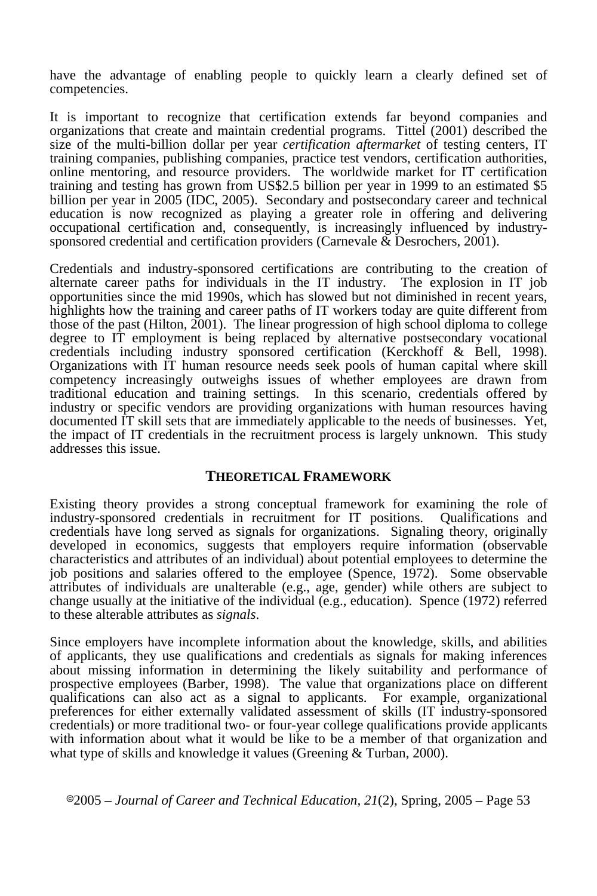have the advantage of enabling people to quickly learn a clearly defined set of competencies.

It is important to recognize that certification extends far beyond companies and organizations that create and maintain credential programs. Tittel (2001) described the size of the multi-billion dollar per year *certification aftermarket* of testing centers, IT training companies, publishing companies, practice test vendors, certification authorities, online mentoring, and resource providers. The worldwide market for IT certification training and testing has grown from US\$2.5 billion per year in 1999 to an estimated \$5 billion per year in 2005 (IDC, 2005). Secondary and postsecondary career and technical education is now recognized as playing a greater role in offering and delivering occupational certification and, consequently, is increasingly influenced by industrysponsored credential and certification providers (Carnevale  $\&$  Desrochers, 2001).

Credentials and industry-sponsored certifications are contributing to the creation of alternate career paths for individuals in the IT industry. The explosion in IT job opportunities since the mid 1990s, which has slowed but not diminished in recent years, highlights how the training and career paths of IT workers today are quite different from those of the past (Hilton, 2001). The linear progression of high school diploma to college degree to IT employment is being replaced by alternative postsecondary vocational credentials including industry sponsored certification (Kerckhoff & Bell, 1998). Organizations with IT human resource needs seek pools of human capital where skill competency increasingly outweighs issues of whether employees are drawn from traditional education and training settings. In this scenario, credentials offered by industry or specific vendors are providing organizations with human resources having documented IT skill sets that are immediately applicable to the needs of businesses. Yet, the impact of IT credentials in the recruitment process is largely unknown. This study addresses this issue.

## **THEORETICAL FRAMEWORK**

Existing theory provides a strong conceptual framework for examining the role of industry-sponsored credentials in recruitment for IT positions. credentials have long served as signals for organizations. Signaling theory, originally developed in economics, suggests that employers require information (observable characteristics and attributes of an individual) about potential employees to determine the job positions and salaries offered to the employee (Spence, 1972). Some observable attributes of individuals are unalterable (e.g., age, gender) while others are subject to change usually at the initiative of the individual (e.g., education). Spence (1972) referred to these alterable attributes as *signals*.

Since employers have incomplete information about the knowledge, skills, and abilities of applicants, they use qualifications and credentials as signals for making inferences about missing information in determining the likely suitability and performance of prospective employees (Barber, 1998). The value that organizations place on different qualifications can also act as a signal to applicants. For example, organizational preferences for either externally validated assessment of skills (IT industry-sponsored credentials) or more traditional two- or four-year college qualifications provide applicants with information about what it would be like to be a member of that organization and what type of skills and knowledge it values (Greening & Turban, 2000).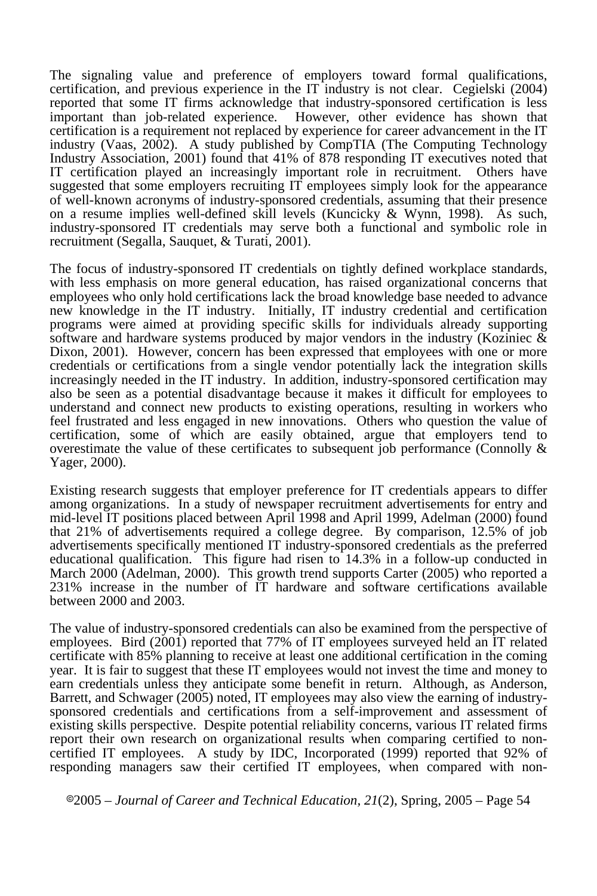The signaling value and preference of employers toward formal qualifications, certification, and previous experience in the IT industry is not clear. Cegielski (2004) reported that some IT firms acknowledge that industry-sponsored certification is less important than job-related experience. However, other evidence has shown that certification is a requirement not replaced by experience for career advancement in the IT industry (Vaas, 2002). A study published by CompTIA (The Computing Technology Industry Association, 2001) found that 41% of 878 responding IT executives noted that IT certification played an increasingly important role in recruitment. Others have suggested that some employers recruiting IT employees simply look for the appearance of well-known acronyms of industry-sponsored credentials, assuming that their presence on a resume implies well-defined skill levels (Kuncicky & Wynn, 1998). As such, industry-sponsored IT credentials may serve both a functional and symbolic role in recruitment (Segalla, Sauquet, & Turati, 2001).

The focus of industry-sponsored IT credentials on tightly defined workplace standards, with less emphasis on more general education, has raised organizational concerns that employees who only hold certifications lack the broad knowledge base needed to advance new knowledge in the IT industry. Initially, IT industry credential and certification programs were aimed at providing specific skills for individuals already supporting software and hardware systems produced by major vendors in the industry (Koziniec  $\&$ Dixon, 2001). However, concern has been expressed that employees with one or more credentials or certifications from a single vendor potentially lack the integration skills increasingly needed in the IT industry. In addition, industry-sponsored certification may also be seen as a potential disadvantage because it makes it difficult for employees to understand and connect new products to existing operations, resulting in workers who feel frustrated and less engaged in new innovations. Others who question the value of certification, some of which are easily obtained, argue that employers tend to overestimate the value of these certificates to subsequent job performance (Connolly & Yager, 2000).

Existing research suggests that employer preference for IT credentials appears to differ among organizations. In a study of newspaper recruitment advertisements for entry and mid-level IT positions placed between April 1998 and April 1999, Adelman (2000) found that 21% of advertisements required a college degree. By comparison, 12.5% of job advertisements specifically mentioned IT industry-sponsored credentials as the preferred educational qualification. This figure had risen to 14.3% in a follow-up conducted in March 2000 (Adelman, 2000). This growth trend supports Carter (2005) who reported a 231% increase in the number of IT hardware and software certifications available between 2000 and 2003.

The value of industry-sponsored credentials can also be examined from the perspective of employees. Bird  $(2001)$  reported that 77% of IT employees surveyed held an IT related certificate with 85% planning to receive at least one additional certification in the coming year. It is fair to suggest that these IT employees would not invest the time and money to earn credentials unless they anticipate some benefit in return. Although, as Anderson, Barrett, and Schwager (2005) noted, IT employees may also view the earning of industrysponsored credentials and certifications from a self-improvement and assessment of existing skills perspective. Despite potential reliability concerns, various IT related firms report their own research on organizational results when comparing certified to noncertified IT employees. A study by IDC, Incorporated (1999) reported that 92% of responding managers saw their certified IT employees, when compared with non-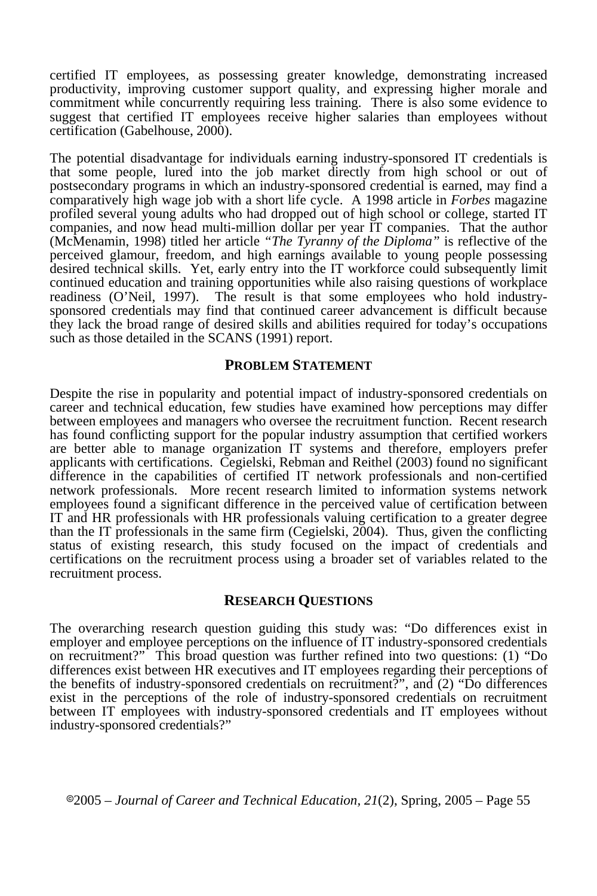certified IT employees, as possessing greater knowledge, demonstrating increased productivity, improving customer support quality, and expressing higher morale and commitment while concurrently requiring less training. There is also some evidence to suggest that certified IT employees receive higher salaries than employees without certification (Gabelhouse, 2000).

The potential disadvantage for individuals earning industry-sponsored IT credentials is that some people, lured into the job market directly from high school or out of postsecondary programs in which an industry-sponsored credential is earned, may find a comparatively high wage job with a short life cycle. A 1998 article in *Forbes* magazine profiled several young adults who had dropped out of high school or college, started IT companies, and now head multi-million dollar per year IT companies. That the author (McMenamin, 1998) titled her article *"The Tyranny of the Diploma"* is reflective of the perceived glamour, freedom, and high earnings available to young people possessing desired technical skills. Yet, early entry into the IT workforce could subsequently limit continued education and training opportunities while also raising questions of workplace readiness (O'Neil, 1997). The result is that some employees who hold industrysponsored credentials may find that continued career advancement is difficult because they lack the broad range of desired skills and abilities required for today's occupations such as those detailed in the SCANS (1991) report.

#### **PROBLEM STATEMENT**

Despite the rise in popularity and potential impact of industry-sponsored credentials on career and technical education, few studies have examined how perceptions may differ between employees and managers who oversee the recruitment function. Recent research has found conflicting support for the popular industry assumption that certified workers are better able to manage organization IT systems and therefore, employers prefer applicants with certifications. Cegielski, Rebman and Reithel (2003) found no significant difference in the capabilities of certified IT network professionals and non-certified network professionals. More recent research limited to information systems network employees found a significant difference in the perceived value of certification between IT and HR professionals with HR professionals valuing certification to a greater degree than the IT professionals in the same firm (Cegielski,  $2004$ ). Thus, given the conflicting status of existing research, this study focused on the impact of credentials and certifications on the recruitment process using a broader set of variables related to the recruitment process.

#### **RESEARCH QUESTIONS**

The overarching research question guiding this study was: "Do differences exist in employer and employee perceptions on the influence of IT industry-sponsored credentials on recruitment?" This broad question was further refined into two questions: (1) "Do differences exist between HR executives and IT employees regarding their perceptions of the benefits of industry-sponsored credentials on recruitment?", and (2) "Do differences exist in the perceptions of the role of industry-sponsored credentials on recruitment between IT employees with industry-sponsored credentials and IT employees without industry-sponsored credentials?"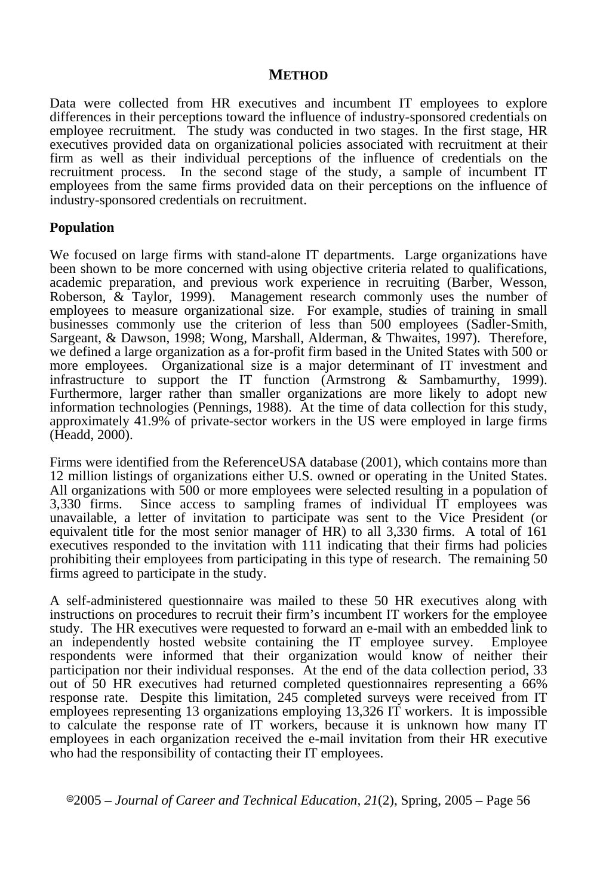### **METHOD**

Data were collected from HR executives and incumbent IT employees to explore differences in their perceptions toward the influence of industry-sponsored credentials on employee recruitment. The study was conducted in two stages. In the first stage, HR executives provided data on organizational policies associated with recruitment at their firm as well as their individual perceptions of the influence of credentials on the recruitment process. In the second stage of the study, a sample of incumbent IT employees from the same firms provided data on their perceptions on the influence of industry-sponsored credentials on recruitment.

### **Population**

We focused on large firms with stand-alone IT departments. Large organizations have been shown to be more concerned with using objective criteria related to qualifications, academic preparation, and previous work experience in recruiting (Barber, Wesson, Roberson, & Taylor, 1999). Management research commonly uses the number of employees to measure organizational size. For example, studies of training in small businesses commonly use the criterion of less than 500 employees (Sadler-Smith, Sargeant, & Dawson, 1998; Wong, Marshall, Alderman, & Thwaites, 1997). Therefore, we defined a large organization as a for-profit firm based in the United States with 500 or more employees. Organizational size is a major determinant of IT investment and infrastructure to support the IT function (Armstrong & Sambamurthy, 1999). Furthermore, larger rather than smaller organizations are more likely to adopt new information technologies (Pennings, 1988). At the time of data collection for this study, approximately 41.9% of private-sector workers in the US were employed in large firms (Headd, 2000).

Firms were identified from the ReferenceUSA database (2001), which contains more than 12 million listings of organizations either U.S. owned or operating in the United States. All organizations with 500 or more employees were selected resulting in a population of 3,330 firms. Since access to sampling frames of individual IT employees was unavailable, a letter of invitation to participate was sent to the Vice President (or equivalent title for the most senior manager of HR) to all 3,330 firms. A total of 161 executives responded to the invitation with 111 indicating that their firms had policies prohibiting their employees from participating in this type of research. The remaining 50 firms agreed to participate in the study.

A self-administered questionnaire was mailed to these 50 HR executives along with instructions on procedures to recruit their firm's incumbent IT workers for the employee study. The HR executives were requested to forward an e-mail with an embedded link to an independently hosted website containing the IT employee survey. Employee respondents were informed that their organization would know of neither their participation nor their individual responses. At the end of the data collection period, 33 out of 50 HR executives had returned completed questionnaires representing a 66% response rate. Despite this limitation, 245 completed surveys were received from IT employees representing 13 organizations employing 13,326 IT workers. It is impossible to calculate the response rate of IT workers, because it is unknown how many IT employees in each organization received the e-mail invitation from their HR executive who had the responsibility of contacting their IT employees.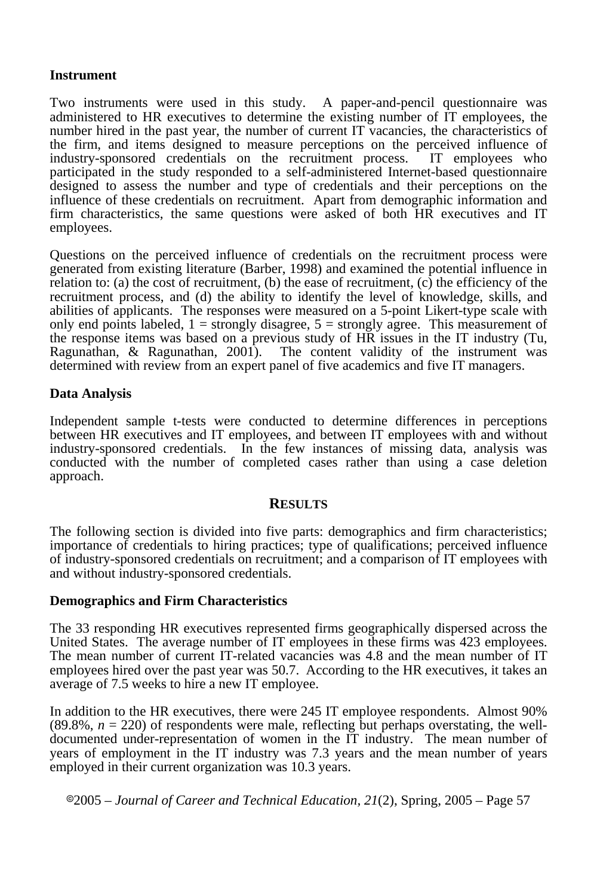## **Instrument**

Two instruments were used in this study. A paper-and-pencil questionnaire was administered to HR executives to determine the existing number of IT employees, the number hired in the past year, the number of current IT vacancies, the characteristics of the firm, and items designed to measure perceptions on the perceived influence of industry-sponsored credentials on the recruitment process. IT employees who participated in the study responded to a self-administered Internet-based questionnaire designed to assess the number and type of credentials and their perceptions on the influence of these credentials on recruitment. Apart from demographic information and firm characteristics, the same questions were asked of both HR executives and IT employees.

Questions on the perceived influence of credentials on the recruitment process were generated from existing literature (Barber, 1998) and examined the potential influence in relation to: (a) the cost of recruitment, (b) the ease of recruitment,  $(c)$  the efficiency of the recruitment process, and (d) the ability to identify the level of knowledge, skills, and abilities of applicants. The responses were measured on a 5-point Likert-type scale with only end points labeled,  $1 =$  strongly disagree,  $5 =$  strongly agree. This measurement of the response items was based on a previous study of HR issues in the IT industry (Tu, Ragunathan, & Ragunathan, 2001). The content validity of the instrument was determined with review from an expert panel of five academics and five IT managers.

# **Data Analysis**

Independent sample t-tests were conducted to determine differences in perceptions between HR executives and IT employees, and between IT employees with and without industry-sponsored credentials. In the few instances of missing data, analysis was conducted with the number of completed cases rather than using a case deletion approach.

### **RESULTS**

The following section is divided into five parts: demographics and firm characteristics; importance of credentials to hiring practices; type of qualifications; perceived influence of industry-sponsored credentials on recruitment; and a comparison of IT employees with and without industry-sponsored credentials.

### **Demographics and Firm Characteristics**

The 33 responding HR executives represented firms geographically dispersed across the United States. The average number of IT employees in these firms was 423 employees. The mean number of current IT-related vacancies was 4.8 and the mean number of IT employees hired over the past year was 50.7. According to the HR executives, it takes an average of 7.5 weeks to hire a new IT employee.

In addition to the HR executives, there were 245 IT employee respondents. Almost 90%  $(89.8\%, n = 220)$  of respondents were male, reflecting but perhaps overstating, the welldocumented under-representation of women in the IT industry. The mean number of years of employment in the IT industry was 7.3 years and the mean number of years employed in their current organization was 10.3 years.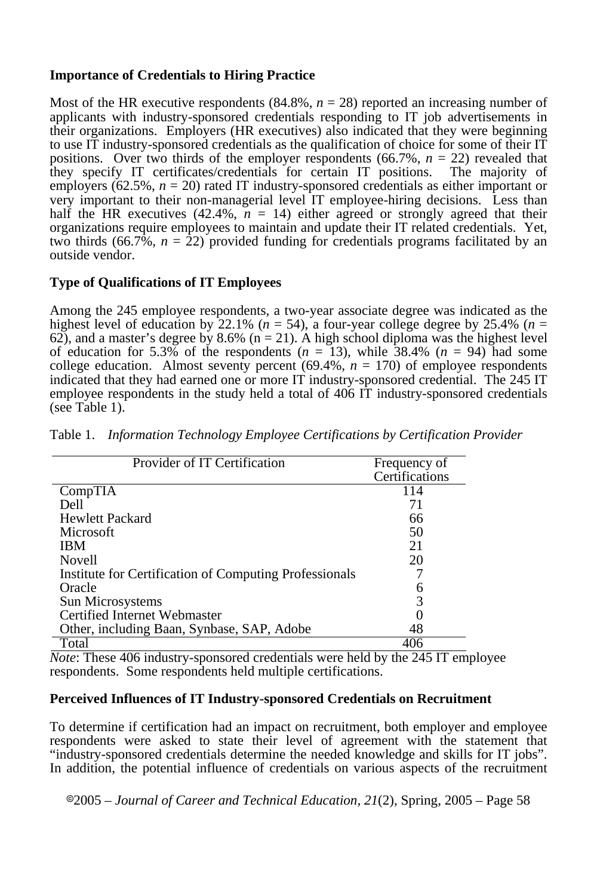# **Importance of Credentials to Hiring Practice**

Most of the HR executive respondents  $(84.8\%, n = 28)$  reported an increasing number of applicants with industry-sponsored credentials responding to IT job advertisements in their organizations. Employers (HR executives) also indicated that they were beginning to use IT industry-sponsored credentials as the qualification of choice for some of their IT positions. Over two thirds of the employer respondents  $(66.7\%, n = 22)$  revealed that they specify IT certificates/credentials for certain IT positions. The majority of employers  $(62.5\%, n = 20)$  rated IT industry-sponsored credentials as either important or very important to their non-managerial level IT employee-hiring decisions. Less than half the HR executives (42.4%,  $n = 14$ ) either agreed or strongly agreed that their organizations require employees to maintain and update their IT related credentials. Yet, two thirds (66.7%,  $n = 22$ ) provided funding for credentials programs facilitated by an outside vendor.

# **Type of Qualifications of IT Employees**

Among the 245 employee respondents, a two-year associate degree was indicated as the highest level of education by 22.1% ( $n = 54$ ), a four-year college degree by 25.4% ( $n =$ 62), and a master's degree by 8.6% ( $n = 21$ ). A high school diploma was the highest level of education for 5.3% of the respondents  $(n = 13)$ , while  $\overline{38.4\%}$   $(n = 94)$  had some college education. Almost seventy percent  $(69.4\%, n = 170)$  of employee respondents indicated that they had earned one or more IT industry-sponsored credential. The 245 IT employee respondents in the study held a total of 406 IT industry-sponsored credentials (see Table 1).

| Provider of IT Certification                           | Frequency of   |  |  |
|--------------------------------------------------------|----------------|--|--|
|                                                        | Certifications |  |  |
| CompTIA                                                | 114            |  |  |
| Dell                                                   | 71             |  |  |
| Hewlett Packard                                        | 66             |  |  |
| Microsoft                                              | 50             |  |  |
| <b>IBM</b>                                             | 21             |  |  |
| Novell                                                 | 20             |  |  |
| Institute for Certification of Computing Professionals |                |  |  |
| Oracle                                                 |                |  |  |
| Sun Microsystems                                       | 3              |  |  |
| Certified Internet Webmaster                           |                |  |  |
| Other, including Baan, Synbase, SAP, Adobe             | 48             |  |  |
| Total                                                  |                |  |  |

Table 1. *Information Technology Employee Certifications by Certification Provider* 

*Note*: These 406 industry-sponsored credentials were held by the 245 IT employee respondents. Some respondents held multiple certifications.

### **Perceived Influences of IT Industry-sponsored Credentials on Recruitment**

To determine if certification had an impact on recruitment, both employer and employee respondents were asked to state their level of agreement with the statement that "industry-sponsored credentials determine the needed knowledge and skills for IT jobs". In addition, the potential influence of credentials on various aspects of the recruitment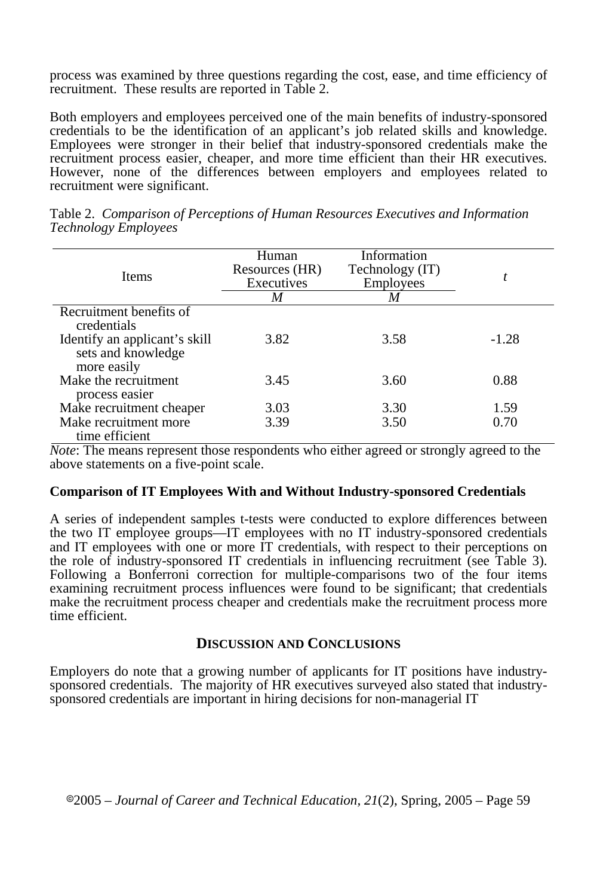process was examined by three questions regarding the cost, ease, and time efficiency of recruitment. These results are reported in Table 2.

Both employers and employees perceived one of the main benefits of industry-sponsored credentials to be the identification of an applicant's job related skills and knowledge. Employees were stronger in their belief that industry-sponsored credentials make the recruitment process easier, cheaper, and more time efficient than their HR executives. However, none of the differences between employers and employees related to recruitment were significant.

| <b>Items</b>                                                       | Human<br>Resources (HR)<br>Executives<br>M | Information<br>Technology (IT)<br><b>Employees</b><br>M |         |
|--------------------------------------------------------------------|--------------------------------------------|---------------------------------------------------------|---------|
| Recruitment benefits of                                            |                                            |                                                         |         |
| credentials                                                        |                                            |                                                         |         |
| Identify an applicant's skill<br>sets and knowledge<br>more easily | 3.82                                       | 3.58                                                    | $-1.28$ |
| Make the recruitment<br>process easier                             | 3.45                                       | 3.60                                                    | 0.88    |
| Make recruitment cheaper                                           | 3.03                                       | 3.30                                                    | 1.59    |
| Make recruitment more<br>time efficient                            | 3.39                                       | 3.50                                                    | 0.70    |

Table 2. *Comparison of Perceptions of Human Resources Executives and Information Technology Employees*

*Note*: The means represent those respondents who either agreed or strongly agreed to the above statements on a five-point scale.

#### **Comparison of IT Employees With and Without Industry-sponsored Credentials**

A series of independent samples t-tests were conducted to explore differences between the two IT employee groups—IT employees with no IT industry-sponsored credentials and IT employees with one or more IT credentials, with respect to their perceptions on the role of industry-sponsored IT credentials in influencing recruitment (see Table 3). Following a Bonferroni correction for multiple-comparisons two of the four items examining recruitment process influences were found to be significant; that credentials make the recruitment process cheaper and credentials make the recruitment process more time efficient.

#### **DISCUSSION AND CONCLUSIONS**

Employers do note that a growing number of applicants for IT positions have industrysponsored credentials. The majority of HR executives surveyed also stated that industrysponsored credentials are important in hiring decisions for non-managerial IT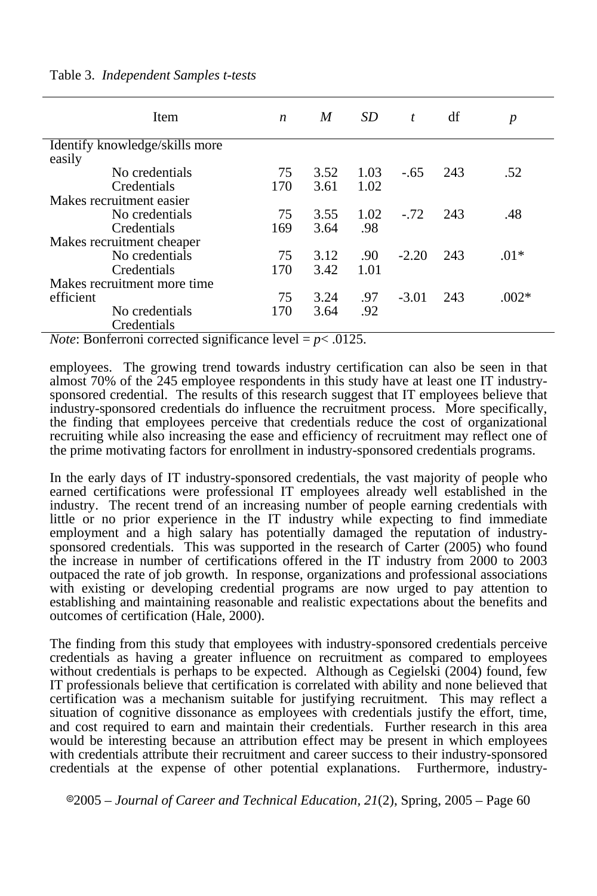| Item                           | $\boldsymbol{n}$ | M    | SD.  | $\boldsymbol{t}$ | df  | $\boldsymbol{p}$ |
|--------------------------------|------------------|------|------|------------------|-----|------------------|
| Identify knowledge/skills more |                  |      |      |                  |     |                  |
| easily                         |                  |      |      |                  |     |                  |
| No credentials                 | 75               | 3.52 | 1.03 | $-.65$           | 243 | .52              |
| Credentials                    | 170              | 3.61 | 1.02 |                  |     |                  |
| Makes recruitment easier       |                  |      |      |                  |     |                  |
| No credentials                 | 75               | 3.55 | 1.02 | $-.72$           | 243 | .48              |
| Credentials                    | 169              | 3.64 | .98  |                  |     |                  |
| Makes recruitment cheaper      |                  |      |      |                  |     |                  |
| No credentials                 | 75               | 3.12 | .90  | $-2.20$          | 243 | $.01*$           |
| Credentials                    | 170              | 3.42 | 1.01 |                  |     |                  |
| Makes recruitment more time    |                  |      |      |                  |     |                  |
| efficient                      | 75               | 3.24 | .97  | $-3.01$          | 243 | $.002*$          |
| No credentials                 | 170              | 3.64 | .92  |                  |     |                  |
| Credentials                    |                  |      |      |                  |     |                  |

Table 3. *Independent Samples t-tests* 

*Note*: Bonferroni corrected significance level  $= p < .0125$ .

employees. The growing trend towards industry certification can also be seen in that almost 70% of the 245 employee respondents in this study have at least one IT industrysponsored credential. The results of this research suggest that IT employees believe that industry-sponsored credentials do influence the recruitment process. More specifically, the finding that employees perceive that credentials reduce the cost of organizational recruiting while also increasing the ease and efficiency of recruitment may reflect one of the prime motivating factors for enrollment in industry-sponsored credentials programs.

In the early days of IT industry-sponsored credentials, the vast majority of people who earned certifications were professional IT employees already well established in the industry. The recent trend of an increasing number of people earning credentials with little or no prior experience in the IT industry while expecting to find immediate employment and a high salary has potentially damaged the reputation of industrysponsored credentials. This was supported in the research of Carter (2005) who found the increase in number of certifications offered in the IT industry from 2000 to 2003 outpaced the rate of job growth. In response, organizations and professional associations with existing or developing credential programs are now urged to pay attention to establishing and maintaining reasonable and realistic expectations about the benefits and outcomes of certification (Hale, 2000).

The finding from this study that employees with industry-sponsored credentials perceive credentials as having a greater influence on recruitment as compared to employees without credentials is perhaps to be expected. Although as Cegielski (2004) found, few IT professionals believe that certification is correlated with ability and none believed that certification was a mechanism suitable for justifying recruitment. This may reflect a situation of cognitive dissonance as employees with credentials justify the effort, time, and cost required to earn and maintain their credentials. Further research in this area would be interesting because an attribution effect may be present in which employees with credentials attribute their recruitment and career success to their industry-sponsored credentials at the expense of other potential explanations. Furthermore, industry-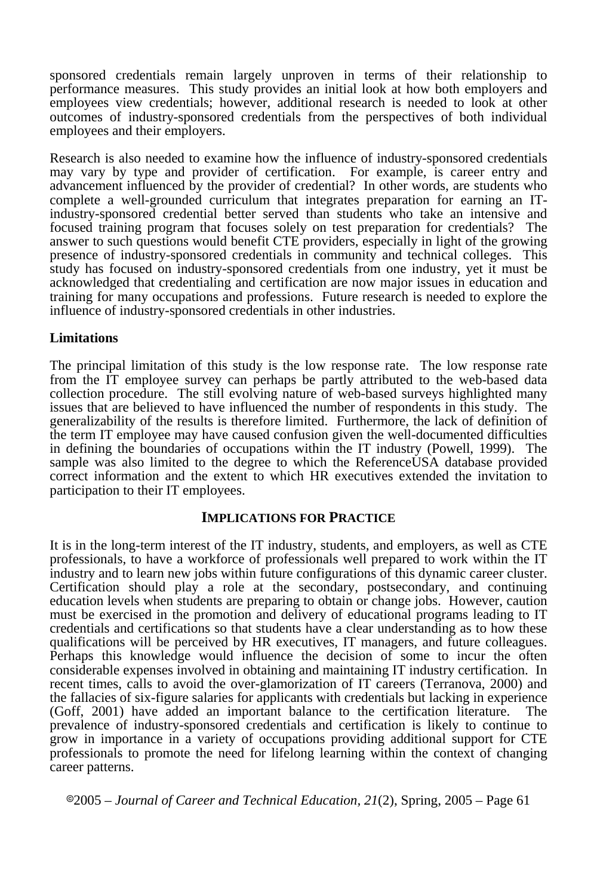sponsored credentials remain largely unproven in terms of their relationship to performance measures. This study provides an initial look at how both employers and employees view credentials; however, additional research is needed to look at other outcomes of industry-sponsored credentials from the perspectives of both individual employees and their employers.

Research is also needed to examine how the influence of industry-sponsored credentials may vary by type and provider of certification. For example, is career entry and advancement influenced by the provider of credential? In other words, are students who complete a well-grounded curriculum that integrates preparation for earning an ITindustry-sponsored credential better served than students who take an intensive and focused training program that focuses solely on test preparation for credentials? The answer to such questions would benefit CTE providers, especially in light of the growing presence of industry-sponsored credentials in community and technical colleges. This study has focused on industry-sponsored credentials from one industry, yet it must be acknowledged that credentialing and certification are now major issues in education and training for many occupations and professions. Future research is needed to explore the influence of industry-sponsored credentials in other industries.

### **Limitations**

The principal limitation of this study is the low response rate. The low response rate from the IT employee survey can perhaps be partly attributed to the web-based data collection procedure. The still evolving nature of web-based surveys highlighted many issues that are believed to have influenced the number of respondents in this study. The generalizability of the results is therefore limited. Furthermore, the lack of definition of the term IT employee may have caused confusion given the well-documented difficulties in defining the boundaries of occupations within the IT industry (Powell, 1999). The sample was also limited to the degree to which the ReferenceUSA database provided correct information and the extent to which HR executives extended the invitation to participation to their IT employees.

### **IMPLICATIONS FOR PRACTICE**

It is in the long-term interest of the IT industry, students, and employers, as well as CTE professionals, to have a workforce of professionals well prepared to work within the IT industry and to learn new jobs within future configurations of this dynamic career cluster. Certification should play a role at the secondary, postsecondary, and continuing education levels when students are preparing to obtain or change jobs. However, caution must be exercised in the promotion and delivery of educational programs leading to IT credentials and certifications so that students have a clear understanding as to how these qualifications will be perceived by HR executives, IT managers, and future colleagues. Perhaps this knowledge would influence the decision of some to incur the often considerable expenses involved in obtaining and maintaining IT industry certification. In recent times, calls to avoid the over-glamorization of IT careers (Terranova, 2000) and the fallacies of six-figure salaries for applicants with credentials but lacking in experience (Goff, 2001) have added an important balance to the certification literature. The prevalence of industry-sponsored credentials and certification is likely to continue to grow in importance in a variety of occupations providing additional support for CTE professionals to promote the need for lifelong learning within the context of changing career patterns.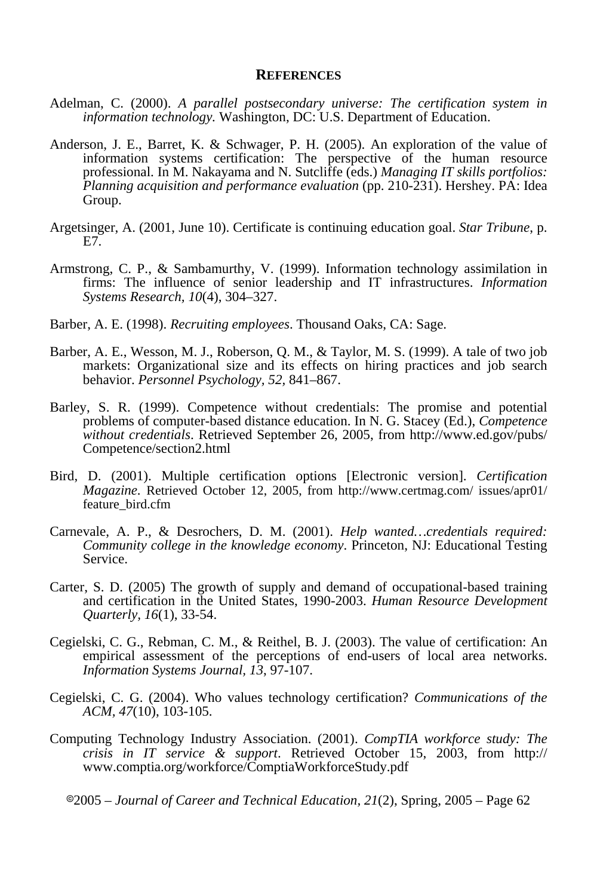#### **REFERENCES**

- Adelman, C. (2000). *A parallel postsecondary universe: The certification system in information technology.* Washington, DC: U.S. Department of Education.
- Anderson, J. E., Barret, K. & Schwager, P. H. (2005). An exploration of the value of information systems certification: The perspective of the human resource professional. In M. Nakayama and N. Sutcliffe (eds.) *Managing IT skills portfolios: Planning acquisition and performance evaluation* (pp. 210-231). Hershey. PA: Idea Group.
- Argetsinger, A. (2001, June 10). Certificate is continuing education goal. *Star Tribune*, p. E7.
- Armstrong, C. P., & Sambamurthy, V. (1999). Information technology assimilation in firms: The influence of senior leadership and IT infrastructures. *Information Systems Research, 10*(4), 304–327.
- Barber, A. E. (1998). *Recruiting employees*. Thousand Oaks, CA: Sage.
- Barber, A. E., Wesson, M. J., Roberson, Q. M., & Taylor, M. S. (1999). A tale of two job markets: Organizational size and its effects on hiring practices and job search behavior. *Personnel Psychology, 52,* 841–867.
- Barley, S. R. (1999). Competence without credentials: The promise and potential problems of computer-based distance education. In N. G. Stacey (Ed.), *Competence without credentials*. Retrieved September 26, 2005, from http://www.ed.gov/pubs/ Competence/section2.html
- Bird, D. (2001). Multiple certification options [Electronic version]. *Certification Magazine.* Retrieved October 12, 2005, from http://www.certmag.com/ issues/apr01/ feature\_bird.cfm
- Carnevale, A. P., & Desrochers, D. M. (2001). *Help wanted…credentials required: Community college in the knowledge economy*. Princeton, NJ: Educational Testing Service.
- Carter, S. D. (2005) The growth of supply and demand of occupational-based training and certification in the United States, 1990-2003. *Human Resource Development Quarterly, 16*(1), 33-54.
- Cegielski, C. G., Rebman, C. M., & Reithel, B. J. (2003). The value of certification: An empirical assessment of the perceptions of end-users of local area networks. *Information Systems Journal, 13*, 97-107.
- Cegielski, C. G. (2004). Who values technology certification? *Communications of the ACM, 47*(10), 103-105.
- Computing Technology Industry Association. (2001). *CompTIA workforce study: The crisis in IT service & support*. Retrieved October 15, 2003, from http:// www.comptia.org/workforce/ComptiaWorkforceStudy.pdf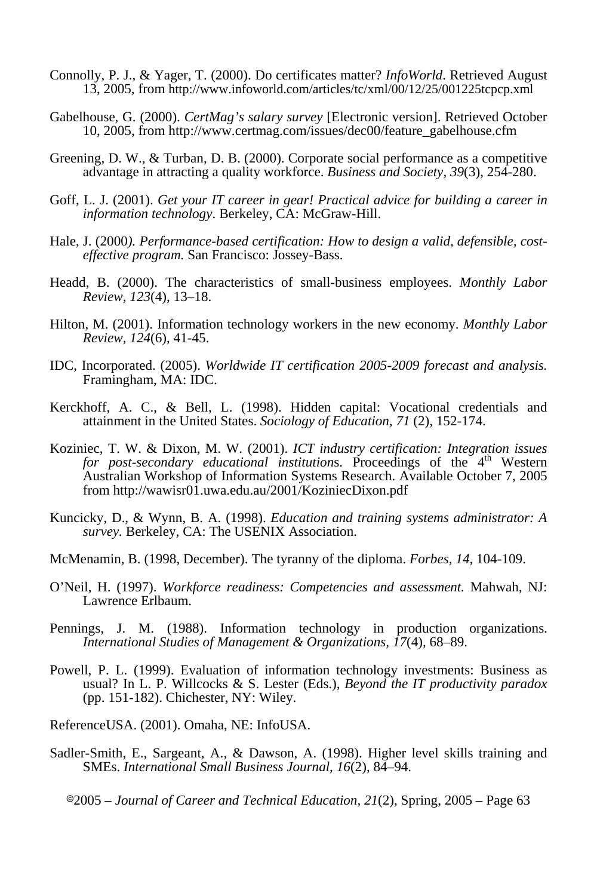- Connolly, P. J., & Yager, T. (2000). Do certificates matter? *InfoWorld*. Retrieved August 13, 2005, from http://www.infoworld.com/articles/tc/xml/00/12/25/001225tcpcp.xml
- Gabelhouse, G. (2000). *CertMag's salary survey* [Electronic version]. Retrieved October 10, 2005, from http://www.certmag.com/issues/dec00/feature\_gabelhouse.cfm
- Greening, D. W., & Turban, D. B. (2000). Corporate social performance as a competitive advantage in attracting a quality workforce. *Business and Society, 39*(3), 254-280.
- Goff, L. J. (2001). *Get your IT career in gear! Practical advice for building a career in information technology*. Berkeley, CA: McGraw-Hill.
- Hale, J. (2000*). Performance-based certification: How to design a valid, defensible, costeffective program.* San Francisco: Jossey-Bass.
- Headd, B. (2000). The characteristics of small-business employees. *Monthly Labor Review, 123*(4), 13–18.
- Hilton, M. (2001). Information technology workers in the new economy. *Monthly Labor Review, 124*(6), 41-45.
- IDC, Incorporated. (2005). *Worldwide IT certification 2005-2009 forecast and analysis.*  Framingham, MA: IDC.
- Kerckhoff, A. C., & Bell, L. (1998). Hidden capital: Vocational credentials and attainment in the United States. *Sociology of Education, 71* (2), 152-174.
- Koziniec, T. W. & Dixon, M. W. (2001). *ICT industry certification: Integration issues for post-secondary educational institutions.* Proceedings of the 4<sup>th</sup> Western Australian Workshop of Information Systems Research. Available October 7, 2005 from http://wawisr01.uwa.edu.au/2001/KoziniecDixon.pdf
- Kuncicky, D., & Wynn, B. A. (1998). *Education and training systems administrator: A survey.* Berkeley, CA: The USENIX Association.
- McMenamin, B. (1998, December). The tyranny of the diploma. *Forbes, 14*, 104-109.
- O'Neil, H. (1997). *Workforce readiness: Competencies and assessment.* Mahwah, NJ: Lawrence Erlbaum.
- Pennings, J. M. (1988). Information technology in production organizations. *International Studies of Management & Organizations, 17*(4), 68–89.
- Powell, P. L. (1999). Evaluation of information technology investments: Business as usual? In L. P. Willcocks & S. Lester (Eds.), *Beyond the IT productivity paradox*  (pp. 151-182). Chichester, NY: Wiley.
- ReferenceUSA. (2001). Omaha, NE: InfoUSA.
- Sadler-Smith, E., Sargeant, A., & Dawson, A. (1998). Higher level skills training and SMEs. *International Small Business Journal, 16*(2), 84–94.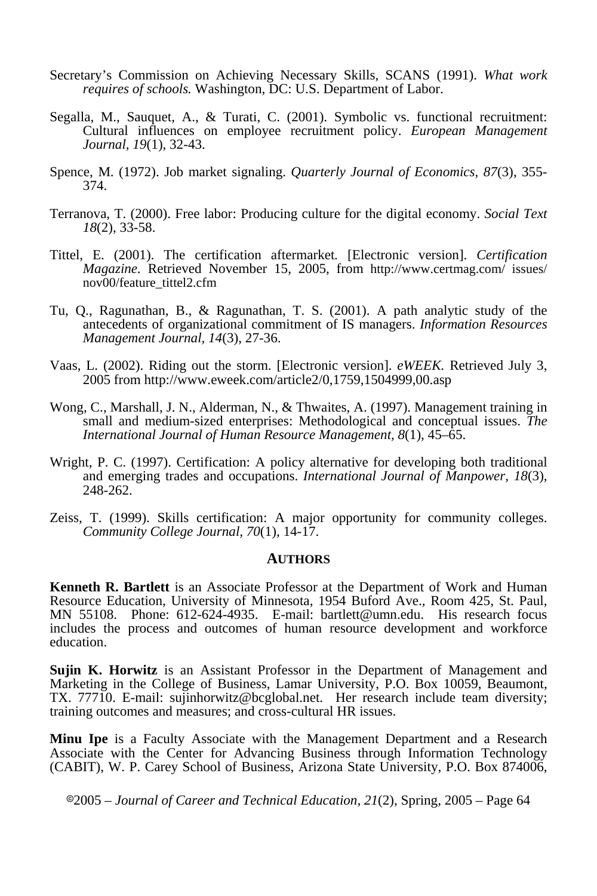- Secretary's Commission on Achieving Necessary Skills, SCANS (1991). *What work requires of schools.* Washington, DC: U.S. Department of Labor.
- Segalla, M., Sauquet, A., & Turati, C. (2001). Symbolic vs. functional recruitment: Cultural influences on employee recruitment policy. *European Management Journal, 19*(1), 32-43.
- Spence, M. (1972). Job market signaling. *Quarterly Journal of Economics, 87*(3), 355- 374.
- Terranova, T. (2000). Free labor: Producing culture for the digital economy. *Social Text 18*(2), 33-58.
- Tittel, E. (2001). The certification aftermarket*.* [Electronic version]. *Certification Magazine.* Retrieved November 15, 2005, from http://www.certmag.com/ issues/ nov00/feature\_tittel2.cfm
- Tu, Q., Ragunathan, B., & Ragunathan, T. S. (2001). A path analytic study of the antecedents of organizational commitment of IS managers. *Information Resources Management Journal, 14*(3), 27-36.
- Vaas, L. (2002). Riding out the storm. [Electronic version]. *eWEEK.* Retrieved July 3, 2005 from http://www.eweek.com/article2/0,1759,1504999,00.asp
- Wong, C., Marshall, J. N., Alderman, N., & Thwaites, A. (1997). Management training in small and medium-sized enterprises: Methodological and conceptual issues. *The International Journal of Human Resource Management, 8*(1), 45–65.
- Wright, P. C. (1997). Certification: A policy alternative for developing both traditional and emerging trades and occupations. *International Journal of Manpower, 18*(3), 248-262.
- Zeiss, T. (1999). Skills certification: A major opportunity for community colleges. *Community College Journal, 70*(1), 14-17.

#### **AUTHORS**

**Kenneth R. Bartlett** is an Associate Professor at the Department of Work and Human Resource Education, University of Minnesota, 1954 Buford Ave., Room 425, St. Paul, MN 55108. Phone: 612-624-4935. E-mail: bartlett@umn.edu. His research focus includes the process and outcomes of human resource development and workforce education.

**Sujin K. Horwitz** is an Assistant Professor in the Department of Management and Marketing in the College of Business, Lamar University, P.O. Box 10059, Beaumont, TX. 77710. E-mail: sujinhorwitz@bcglobal.net. Her research include team diversity; training outcomes and measures; and cross-cultural HR issues.

**Minu Ipe** is a Faculty Associate with the Management Department and a Research Associate with the Center for Advancing Business through Information Technology (CABIT), W. P. Carey School of Business, Arizona State University, P.O. Box 874006,